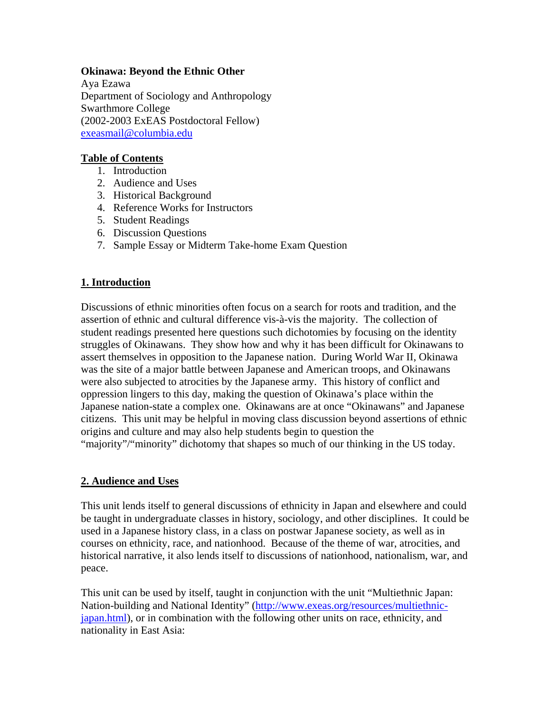#### **Okinawa: Beyond the Ethnic Other**

Aya Ezawa Department of Sociology and Anthropology Swarthmore College (2002-2003 ExEAS Postdoctoral Fellow) exeasmail@columbia.edu

### **Table of Contents**

- 1. Introduction
- 2. Audience and Uses
- 3. Historical Background
- 4. Reference Works for Instructors
- 5. Student Readings
- 6. Discussion Questions
- 7. Sample Essay or Midterm Take-home Exam Question

# **1. Introduction**

Discussions of ethnic minorities often focus on a search for roots and tradition, and the assertion of ethnic and cultural difference vis-à-vis the majority. The collection of student readings presented here questions such dichotomies by focusing on the identity struggles of Okinawans. They show how and why it has been difficult for Okinawans to assert themselves in opposition to the Japanese nation. During World War II, Okinawa was the site of a major battle between Japanese and American troops, and Okinawans were also subjected to atrocities by the Japanese army. This history of conflict and oppression lingers to this day, making the question of Okinawa's place within the Japanese nation-state a complex one. Okinawans are at once "Okinawans" and Japanese citizens. This unit may be helpful in moving class discussion beyond assertions of ethnic origins and culture and may also help students begin to question the "majority"/"minority" dichotomy that shapes so much of our thinking in the US today.

# **2. Audience and Uses**

This unit lends itself to general discussions of ethnicity in Japan and elsewhere and could be taught in undergraduate classes in history, sociology, and other disciplines. It could be used in a Japanese history class, in a class on postwar Japanese society, as well as in courses on ethnicity, race, and nationhood. Because of the theme of war, atrocities, and historical narrative, it also lends itself to discussions of nationhood, nationalism, war, and peace.

This unit can be used by itself, taught in conjunction with the unit "Multiethnic Japan: Nation-building and National Identity" (http://www.exeas.org/resources/multiethnicjapan.html), or in combination with the following other units on race, ethnicity, and nationality in East Asia: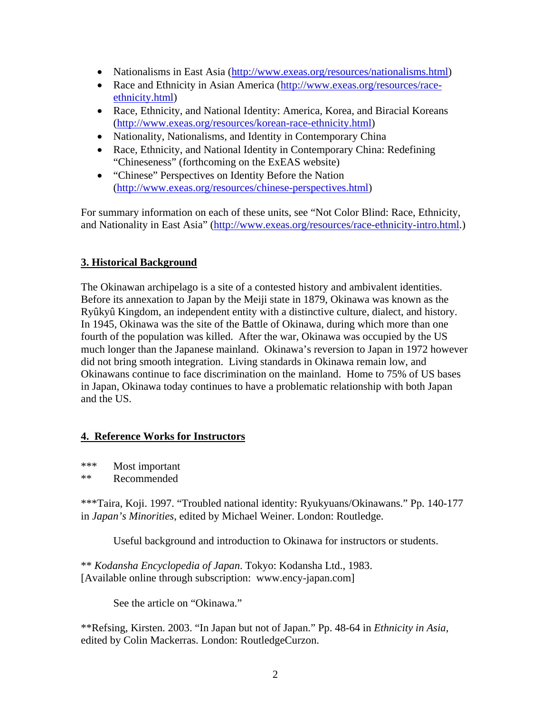- Nationalisms in East Asia (http://www.exeas.org/resources/nationalisms.html)
- Race and Ethnicity in Asian America (http://www.exeas.org/resources/raceethnicity.html)
- Race, Ethnicity, and National Identity: America, Korea, and Biracial Koreans (http://www.exeas.org/resources/korean-race-ethnicity.html)
- Nationality, Nationalisms, and Identity in Contemporary China
- Race, Ethnicity, and National Identity in Contemporary China: Redefining "Chineseness" (forthcoming on the ExEAS website)
- "Chinese" Perspectives on Identity Before the Nation (http://www.exeas.org/resources/chinese-perspectives.html)

For summary information on each of these units, see "Not Color Blind: Race, Ethnicity, and Nationality in East Asia" (http://www.exeas.org/resources/race-ethnicity-intro.html.)

# **3. Historical Background**

The Okinawan archipelago is a site of a contested history and ambivalent identities. Before its annexation to Japan by the Meiji state in 1879, Okinawa was known as the Ryûkyû Kingdom, an independent entity with a distinctive culture, dialect, and history. In 1945, Okinawa was the site of the Battle of Okinawa, during which more than one fourth of the population was killed. After the war, Okinawa was occupied by the US much longer than the Japanese mainland. Okinawa's reversion to Japan in 1972 however did not bring smooth integration. Living standards in Okinawa remain low, and Okinawans continue to face discrimination on the mainland. Home to 75% of US bases in Japan, Okinawa today continues to have a problematic relationship with both Japan and the US.

# **4. Reference Works for Instructors**

\*\*\* Most important

\*\* Recommended

\*\*\*Taira, Koji. 1997. "Troubled national identity: Ryukyuans/Okinawans." Pp. 140-177 in *Japan's Minorities*, edited by Michael Weiner. London: Routledge.

Useful background and introduction to Okinawa for instructors or students.

\*\* *Kodansha Encyclopedia of Japan*. Tokyo: Kodansha Ltd., 1983. [Available online through subscription: www.ency-japan.com]

See the article on "Okinawa."

\*\*Refsing, Kirsten. 2003. "In Japan but not of Japan." Pp. 48-64 in *Ethnicity in Asia*, edited by Colin Mackerras. London: RoutledgeCurzon.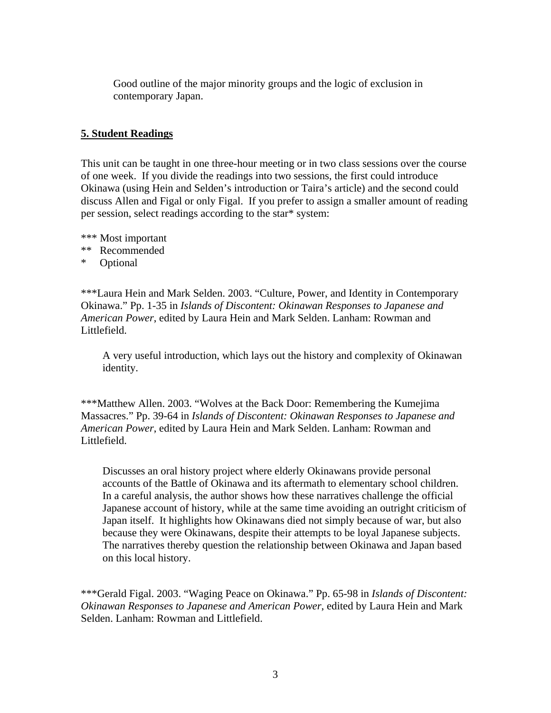Good outline of the major minority groups and the logic of exclusion in contemporary Japan.

### **5. Student Readings**

This unit can be taught in one three-hour meeting or in two class sessions over the course of one week. If you divide the readings into two sessions, the first could introduce Okinawa (using Hein and Selden's introduction or Taira's article) and the second could discuss Allen and Figal or only Figal. If you prefer to assign a smaller amount of reading per session, select readings according to the star\* system:

- \*\*\* Most important
- \*\* Recommended
- \* Optional

\*\*\*Laura Hein and Mark Selden. 2003. "Culture, Power, and Identity in Contemporary Okinawa." Pp. 1-35 in *Islands of Discontent: Okinawan Responses to Japanese and American Power*, edited by Laura Hein and Mark Selden. Lanham: Rowman and Littlefield.

A very useful introduction, which lays out the history and complexity of Okinawan identity.

\*\*\*Matthew Allen. 2003. "Wolves at the Back Door: Remembering the Kumejima Massacres." Pp. 39-64 in *Islands of Discontent: Okinawan Responses to Japanese and American Power*, edited by Laura Hein and Mark Selden. Lanham: Rowman and Littlefield.

Discusses an oral history project where elderly Okinawans provide personal accounts of the Battle of Okinawa and its aftermath to elementary school children. In a careful analysis, the author shows how these narratives challenge the official Japanese account of history, while at the same time avoiding an outright criticism of Japan itself. It highlights how Okinawans died not simply because of war, but also because they were Okinawans, despite their attempts to be loyal Japanese subjects. The narratives thereby question the relationship between Okinawa and Japan based on this local history.

\*\*\*Gerald Figal. 2003. "Waging Peace on Okinawa." Pp. 65-98 in *Islands of Discontent: Okinawan Responses to Japanese and American Power*, edited by Laura Hein and Mark Selden. Lanham: Rowman and Littlefield.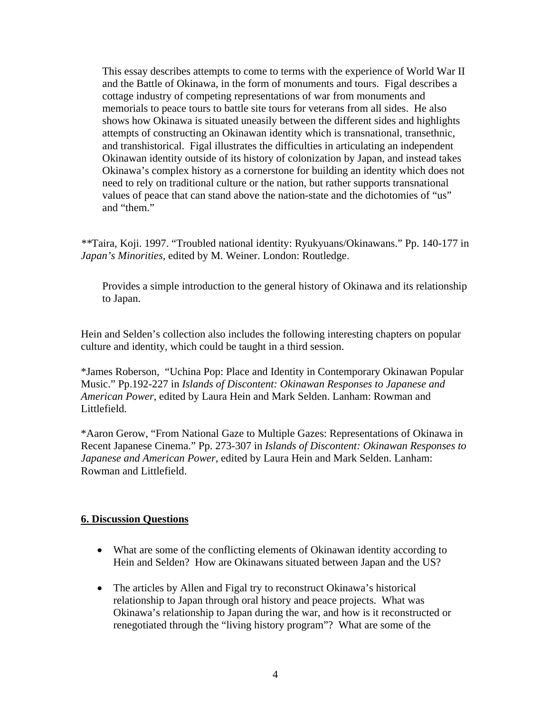This essay describes attempts to come to terms with the experience of World War II and the Battle of Okinawa, in the form of monuments and tours. Figal describes a cottage industry of competing representations of war from monuments and memorials to peace tours to battle site tours for veterans from all sides. He also shows how Okinawa is situated uneasily between the different sides and highlights attempts of constructing an Okinawan identity which is transnational, transethnic, and transhistorical. Figal illustrates the difficulties in articulating an independent Okinawan identity outside of its history of colonization by Japan, and instead takes Okinawa's complex history as a cornerstone for building an identity which does not need to rely on traditional culture or the nation, but rather supports transnational values of peace that can stand above the nation-state and the dichotomies of "us" and "them."

*\*\**Taira, Koji. 1997. "Troubled national identity: Ryukyuans/Okinawans." Pp. 140-177 in *Japan's Minorities*, edited by M. Weiner. London: Routledge.

Provides a simple introduction to the general history of Okinawa and its relationship to Japan.

Hein and Selden's collection also includes the following interesting chapters on popular culture and identity, which could be taught in a third session.

\*James Roberson, "Uchina Pop: Place and Identity in Contemporary Okinawan Popular Music." Pp.192-227 in *Islands of Discontent: Okinawan Responses to Japanese and American Power*, edited by Laura Hein and Mark Selden. Lanham: Rowman and Littlefield.

\*Aaron Gerow, "From National Gaze to Multiple Gazes: Representations of Okinawa in Recent Japanese Cinema." Pp. 273-307 in *Islands of Discontent: Okinawan Responses to Japanese and American Power*, edited by Laura Hein and Mark Selden. Lanham: Rowman and Littlefield.

# **6. Discussion Questions**

- What are some of the conflicting elements of Okinawan identity according to Hein and Selden? How are Okinawans situated between Japan and the US?
- The articles by Allen and Figal try to reconstruct Okinawa's historical relationship to Japan through oral history and peace projects. What was Okinawa's relationship to Japan during the war, and how is it reconstructed or renegotiated through the "living history program"? What are some of the